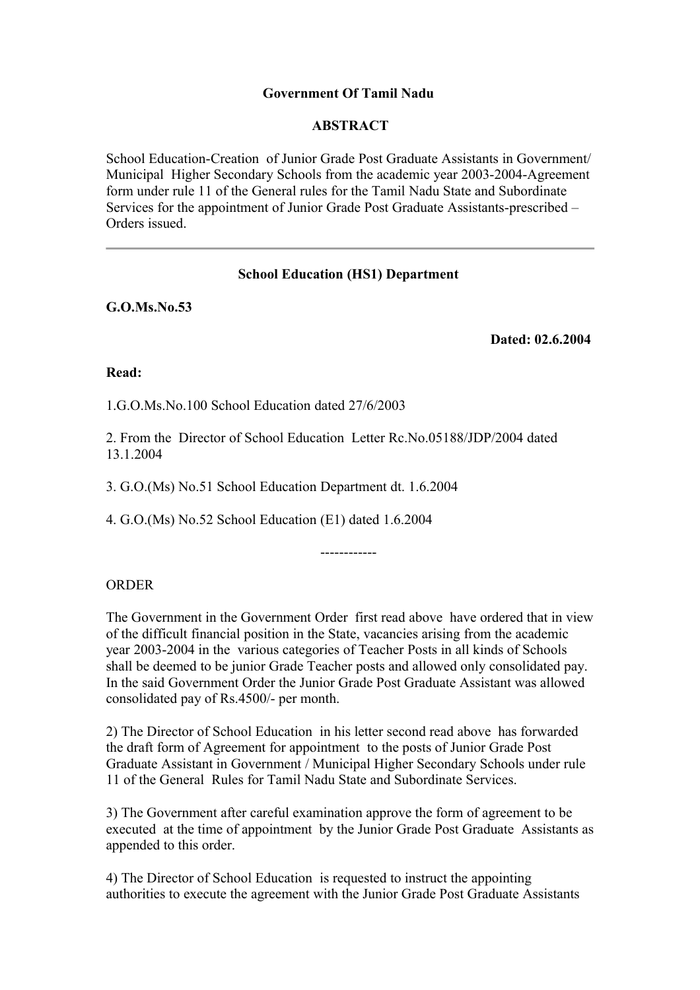# **Government Of Tamil Nadu**

# **ABSTRACT**

School Education-Creation of Junior Grade Post Graduate Assistants in Government/ Municipal Higher Secondary Schools from the academic year 2003-2004-Agreement form under rule 11 of the General rules for the Tamil Nadu State and Subordinate Services for the appointment of Junior Grade Post Graduate Assistants-prescribed – Orders issued.

# **School Education (HS1) Department**

**G.O.Ms.No.53**

**Dated: 02.6.2004** 

## **Read:**

1.G.O.Ms.No.100 School Education dated 27/6/2003

2. From the Director of School Education Letter Rc.No.05188/JDP/2004 dated 13.1.2004

3. G.O.(Ms) No.51 School Education Department dt. 1.6.2004

4. G.O.(Ms) No.52 School Education (E1) dated 1.6.2004

# ORDER

The Government in the Government Order first read above have ordered that in view of the difficult financial position in the State, vacancies arising from the academic year 2003-2004 in the various categories of Teacher Posts in all kinds of Schools shall be deemed to be junior Grade Teacher posts and allowed only consolidated pay. In the said Government Order the Junior Grade Post Graduate Assistant was allowed consolidated pay of Rs.4500/- per month.

------------

2) The Director of School Education in his letter second read above has forwarded the draft form of Agreement for appointment to the posts of Junior Grade Post Graduate Assistant in Government / Municipal Higher Secondary Schools under rule 11 of the General Rules for Tamil Nadu State and Subordinate Services.

3) The Government after careful examination approve the form of agreement to be executed at the time of appointment by the Junior Grade Post Graduate Assistants as appended to this order.

4) The Director of School Education is requested to instruct the appointing authorities to execute the agreement with the Junior Grade Post Graduate Assistants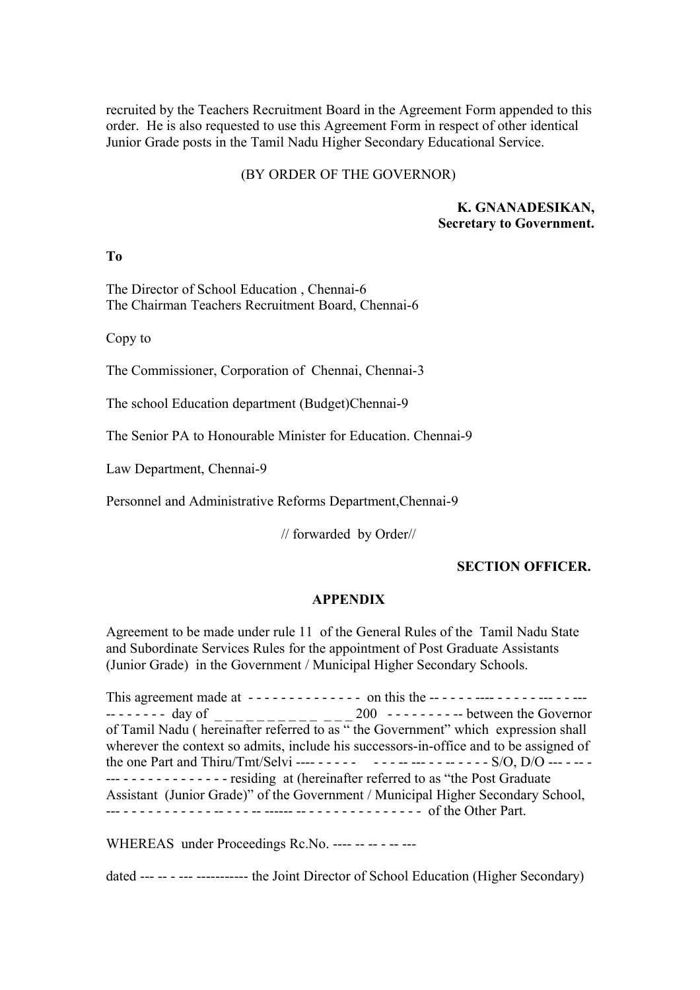recruited by the Teachers Recruitment Board in the Agreement Form appended to this order. He is also requested to use this Agreement Form in respect of other identical Junior Grade posts in the Tamil Nadu Higher Secondary Educational Service.

#### (BY ORDER OF THE GOVERNOR)

#### **K. GNANADESIKAN, Secretary to Government.**

**To** 

The Director of School Education , Chennai-6 The Chairman Teachers Recruitment Board, Chennai-6

Copy to

The Commissioner, Corporation of Chennai, Chennai-3

The school Education department (Budget)Chennai-9

The Senior PA to Honourable Minister for Education. Chennai-9

Law Department, Chennai-9

Personnel and Administrative Reforms Department,Chennai-9

// forwarded by Order//

## **SECTION OFFICER.**

### **APPENDIX**

Agreement to be made under rule 11 of the General Rules of the Tamil Nadu State and Subordinate Services Rules for the appointment of Post Graduate Assistants (Junior Grade) in the Government / Municipal Higher Secondary Schools.

This agreement made at - - - - - - - - - - - - - - on this the -- - - - - ---- - - - - - --- - - --- -- - - - - - - day of \_ \_ \_ \_ \_ \_ \_ \_ \_ \_ \_ \_ \_ 200 - - - - - - - - -- between the Governor of Tamil Nadu ( hereinafter referred to as " the Government" which expression shall wherever the context so admits, include his successors-in-office and to be assigned of the one Part and Thiru/Tmt/Selvi ---- - - - - - - - - -- --- - - -- - - - - S/O, D/O --- - -- - --- - - - - - - - - - - - - - residing at (hereinafter referred to as "the Post Graduate Assistant (Junior Grade)" of the Government / Municipal Higher Secondary School, --- - - - - - - - - - - - -- - - - -- ------ -- - - - - - - - - - - - - - - of the Other Part.

WHEREAS under Proceedings Rc.No. ---- -- -- -- ---

dated --- -- - --- ----------- the Joint Director of School Education (Higher Secondary)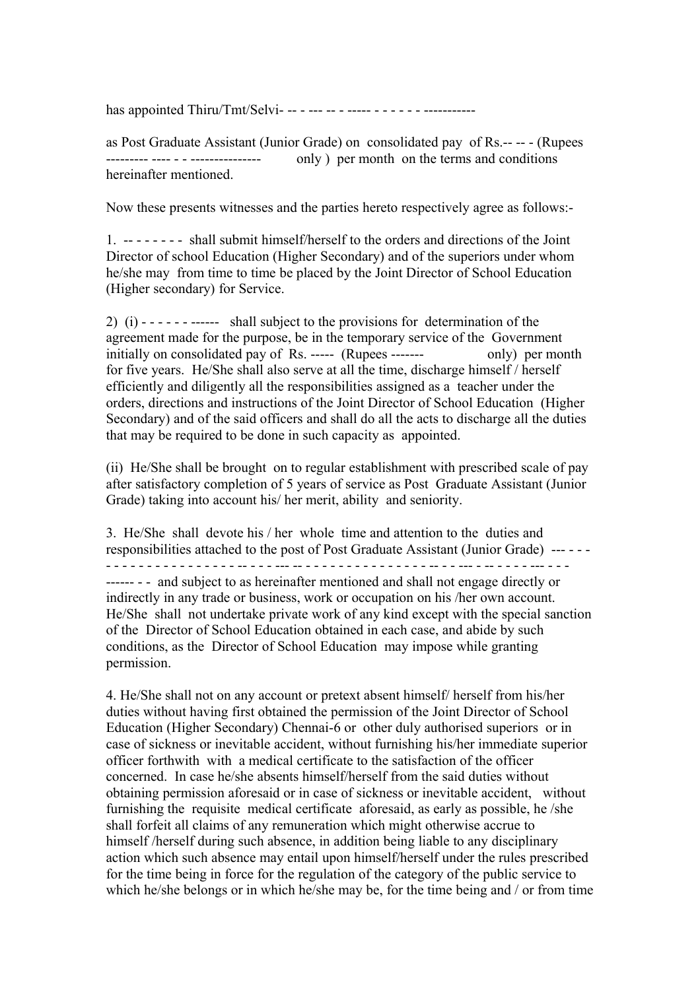has appointed Thiru/Tmt/Selvi- -- - --- -- - ----- - - - - - - -----------

as Post Graduate Assistant (Junior Grade) on consolidated pay of Rs.-- -- - (Rupees --------- ---- - - --------------- only ) per month on the terms and conditions hereinafter mentioned.

Now these presents witnesses and the parties hereto respectively agree as follows:-

1. -- - - - - - - shall submit himself/herself to the orders and directions of the Joint Director of school Education (Higher Secondary) and of the superiors under whom he/she may from time to time be placed by the Joint Director of School Education (Higher secondary) for Service.

2) (i) - - - - - - ------ shall subject to the provisions for determination of the agreement made for the purpose, be in the temporary service of the Government initially on consolidated pay of Rs. ----- (Rupees ------- only) per month for five years. He/She shall also serve at all the time, discharge himself / herself efficiently and diligently all the responsibilities assigned as a teacher under the orders, directions and instructions of the Joint Director of School Education (Higher Secondary) and of the said officers and shall do all the acts to discharge all the duties that may be required to be done in such capacity as appointed.

(ii) He/She shall be brought on to regular establishment with prescribed scale of pay after satisfactory completion of 5 years of service as Post Graduate Assistant (Junior Grade) taking into account his/ her merit, ability and seniority.

3. He/She shall devote his / her whole time and attention to the duties and responsibilities attached to the post of Post Graduate Assistant (Junior Grade) --- - - - - - - - - - - - - - - - - - - - -- - - - --- -- - - - - - - - - - - - - - - - -- - - --- - -- - - - - --- - - - ------ - - and subject to as hereinafter mentioned and shall not engage directly or indirectly in any trade or business, work or occupation on his /her own account. He/She shall not undertake private work of any kind except with the special sanction of the Director of School Education obtained in each case, and abide by such conditions, as the Director of School Education may impose while granting permission.

4. He/She shall not on any account or pretext absent himself/ herself from his/her duties without having first obtained the permission of the Joint Director of School Education (Higher Secondary) Chennai-6 or other duly authorised superiors or in case of sickness or inevitable accident, without furnishing his/her immediate superior officer forthwith with a medical certificate to the satisfaction of the officer concerned. In case he/she absents himself/herself from the said duties without obtaining permission aforesaid or in case of sickness or inevitable accident, without furnishing the requisite medical certificate aforesaid, as early as possible, he /she shall forfeit all claims of any remuneration which might otherwise accrue to himself /herself during such absence, in addition being liable to any disciplinary action which such absence may entail upon himself/herself under the rules prescribed for the time being in force for the regulation of the category of the public service to which he/she belongs or in which he/she may be, for the time being and / or from time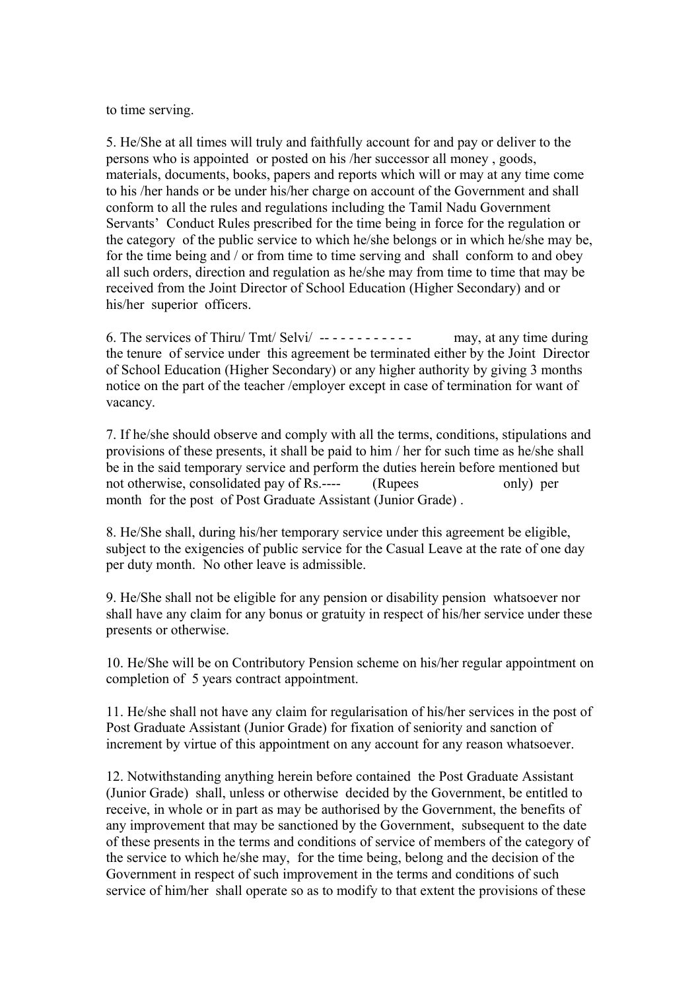to time serving.

5. He/She at all times will truly and faithfully account for and pay or deliver to the persons who is appointed or posted on his /her successor all money , goods, materials, documents, books, papers and reports which will or may at any time come to his /her hands or be under his/her charge on account of the Government and shall conform to all the rules and regulations including the Tamil Nadu Government Servants' Conduct Rules prescribed for the time being in force for the regulation or the category of the public service to which he/she belongs or in which he/she may be, for the time being and / or from time to time serving and shall conform to and obey all such orders, direction and regulation as he/she may from time to time that may be received from the Joint Director of School Education (Higher Secondary) and or his/her superior officers.

6. The services of Thiru/ Tmt/ Selvi/ -- - - - - - - - - - - may, at any time during the tenure of service under this agreement be terminated either by the Joint Director of School Education (Higher Secondary) or any higher authority by giving 3 months notice on the part of the teacher /employer except in case of termination for want of vacancy.

7. If he/she should observe and comply with all the terms, conditions, stipulations and provisions of these presents, it shall be paid to him / her for such time as he/she shall be in the said temporary service and perform the duties herein before mentioned but not otherwise, consolidated pay of Rs.---- (Rupees only) per month for the post of Post Graduate Assistant (Junior Grade) .

8. He/She shall, during his/her temporary service under this agreement be eligible, subject to the exigencies of public service for the Casual Leave at the rate of one day per duty month. No other leave is admissible.

9. He/She shall not be eligible for any pension or disability pension whatsoever nor shall have any claim for any bonus or gratuity in respect of his/her service under these presents or otherwise.

10. He/She will be on Contributory Pension scheme on his/her regular appointment on completion of 5 years contract appointment.

11. He/she shall not have any claim for regularisation of his/her services in the post of Post Graduate Assistant (Junior Grade) for fixation of seniority and sanction of increment by virtue of this appointment on any account for any reason whatsoever.

12. Notwithstanding anything herein before contained the Post Graduate Assistant (Junior Grade) shall, unless or otherwise decided by the Government, be entitled to receive, in whole or in part as may be authorised by the Government, the benefits of any improvement that may be sanctioned by the Government, subsequent to the date of these presents in the terms and conditions of service of members of the category of the service to which he/she may, for the time being, belong and the decision of the Government in respect of such improvement in the terms and conditions of such service of him/her shall operate so as to modify to that extent the provisions of these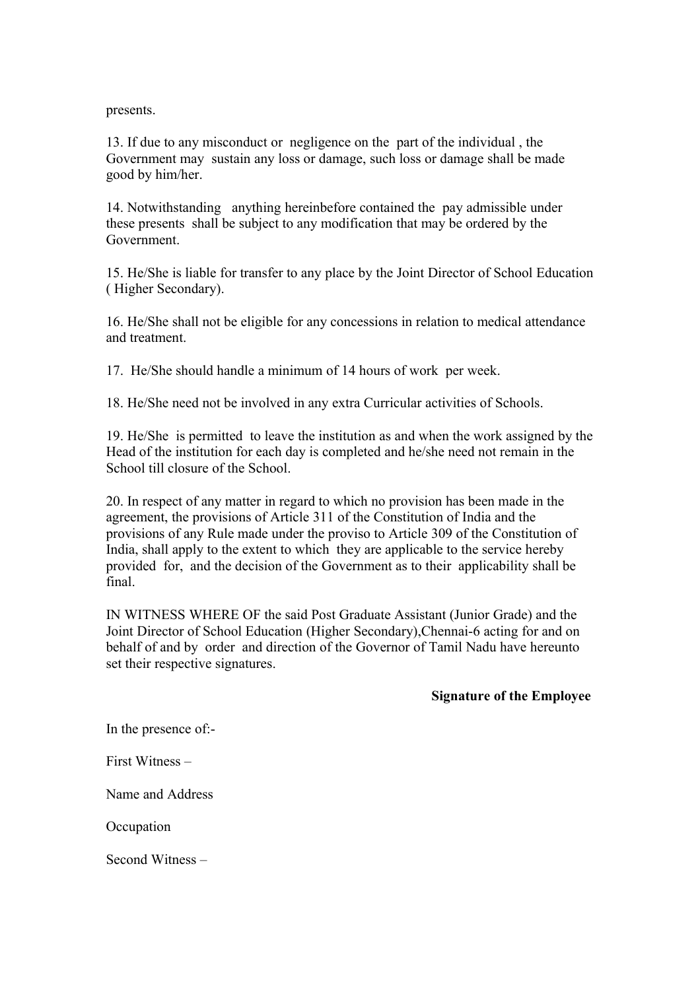presents.

13. If due to any misconduct or negligence on the part of the individual , the Government may sustain any loss or damage, such loss or damage shall be made good by him/her.

14. Notwithstanding anything hereinbefore contained the pay admissible under these presents shall be subject to any modification that may be ordered by the Government.

15. He/She is liable for transfer to any place by the Joint Director of School Education ( Higher Secondary).

16. He/She shall not be eligible for any concessions in relation to medical attendance and treatment.

17. He/She should handle a minimum of 14 hours of work per week.

18. He/She need not be involved in any extra Curricular activities of Schools.

19. He/She is permitted to leave the institution as and when the work assigned by the Head of the institution for each day is completed and he/she need not remain in the School till closure of the School.

20. In respect of any matter in regard to which no provision has been made in the agreement, the provisions of Article 311 of the Constitution of India and the provisions of any Rule made under the proviso to Article 309 of the Constitution of India, shall apply to the extent to which they are applicable to the service hereby provided for, and the decision of the Government as to their applicability shall be final.

IN WITNESS WHERE OF the said Post Graduate Assistant (Junior Grade) and the Joint Director of School Education (Higher Secondary),Chennai-6 acting for and on behalf of and by order and direction of the Governor of Tamil Nadu have hereunto set their respective signatures.

## **Signature of the Employee**

In the presence of:-

First Witness –

Name and Address

**Occupation** 

Second Witness –